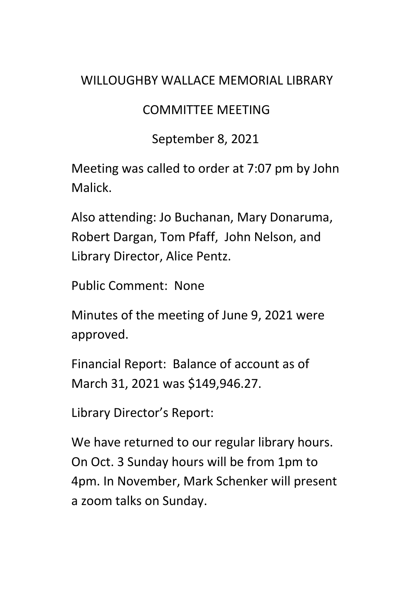## WILLOUGHBY WALLACE MEMORIAL LIBRARY

## COMMITTEE MEETING

## September 8, 2021

Meeting was called to order at 7:07 pm by John Malick.

Also attending: Jo Buchanan, Mary Donaruma, Robert Dargan, Tom Pfaff, John Nelson, and Library Director, Alice Pentz.

Public Comment: None

Minutes of the meeting of June 9, 2021 were approved.

Financial Report: Balance of account as of March 31, 2021 was \$149,946.27.

Library Director's Report:

We have returned to our regular library hours. On Oct. 3 Sunday hours will be from 1pm to 4pm. In November, Mark Schenker will present a zoom talks on Sunday.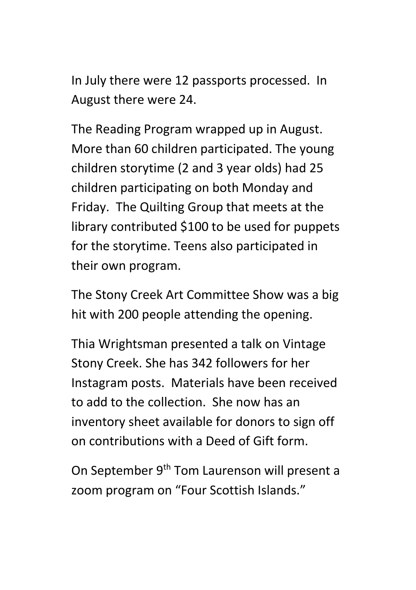In July there were 12 passports processed. In August there were 24.

The Reading Program wrapped up in August. More than 60 children participated. The young children storytime (2 and 3 year olds) had 25 children participating on both Monday and Friday. The Quilting Group that meets at the library contributed \$100 to be used for puppets for the storytime. Teens also participated in their own program.

The Stony Creek Art Committee Show was a big hit with 200 people attending the opening.

Thia Wrightsman presented a talk on Vintage Stony Creek. She has 342 followers for her Instagram posts. Materials have been received to add to the collection. She now has an inventory sheet available for donors to sign off on contributions with a Deed of Gift form.

On September 9th Tom Laurenson will present a zoom program on "Four Scottish Islands."